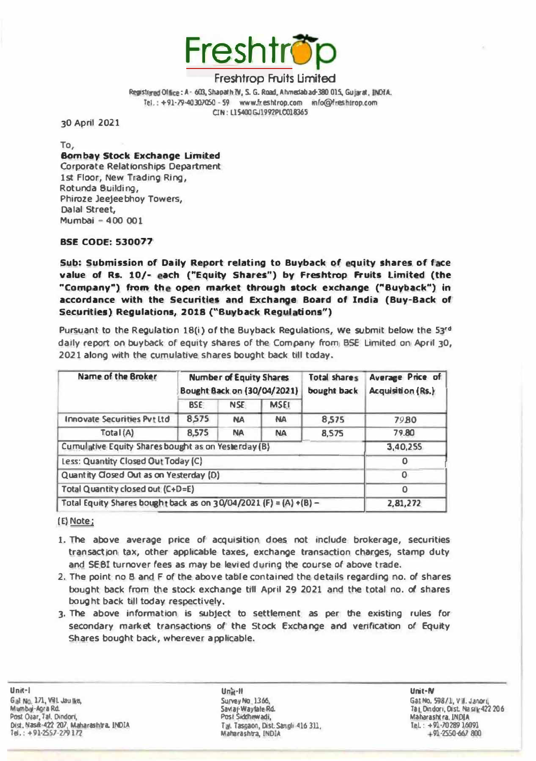

## **Freshtrop Fruits Limited**

Registered Office: A - 603, Shapath TV, S. G. Road, Ahmedabad-380 015, Gujarat, INDEA. Tel.: +91-79-40307050 - 59 www.freshtrop.com info@freshtrop.com CIN: L15400GJ1992PLC018365

30 April 2021

To,

**Bombay Stock Exchange Limited Corporate Relationships Department** 1st Floor, New Trading Ring, Rotunda Building, Phiroze Jeejeebhov Towers. Dalal Street. Mumbai - 400 001

**BSE CODE: 530077** 

Sub: Submission of Daily Report relating to Buyback of equity shares of face value of Rs. 10/- each ("Equity Shares") by Freshtrop Fruits Limited (the "Company") from the open market through stock exchange ("Buyback") in accordance with the Securities and Exchange Board of India (Buy-Back of Securities) Regulations, 2018 ("Buyback Regulations")

Pursuant to the Regulation 18(i) of the Buyback Regulations, We submit below the 53rd daily report on buyback of equity shares of the Company from BSE Limited on April 30, 2021 along with the cumulative shares bought back till today.

| Name of the Broker                                                  | <b>Number of Equity Shares</b><br>Bought Back on (30/04/2021) |            |             | <b>Total shares</b><br>bought back | Average Price of<br><b>Acquisition (Rs.)</b> |
|---------------------------------------------------------------------|---------------------------------------------------------------|------------|-------------|------------------------------------|----------------------------------------------|
|                                                                     | <b>BSE</b>                                                    | <b>NSE</b> | <b>MSEI</b> |                                    |                                              |
| <b>Innovate Securities Pvt Ltd</b>                                  | 8,575                                                         | <b>NA</b>  | <b>NA</b>   | 8,575                              | <b>7980</b>                                  |
| Total (A)                                                           | 8,575                                                         | <b>NA</b>  | <b>NA</b>   | 8,575                              | 79.80                                        |
| Cumulative Equity Shares bought as on Yesterday (B)                 |                                                               |            |             |                                    | 3,40,255                                     |
| Less: Quantity Closed Out Today (C)                                 |                                                               |            |             |                                    | 0                                            |
| Quantity Closed Out as on Yesterday (D)                             |                                                               |            |             |                                    | 0                                            |
| Total Quantity closed out (C+D=E)                                   |                                                               |            |             |                                    | O                                            |
| Total Equity Shares bought back as on $30/04/2021$ (F) = (A) +(B) - |                                                               |            |             |                                    | 2,81,272                                     |

(E) Note:

- 1. The above average price of acquisition does not include brokerage, securities transaction tax, other applicable taxes, exchange transaction charges, stamp duty and SEBI turnover fees as may be levied during the course of above trade.
- 2. The point no B and F of the above table contained the details regarding no. of shares bought back from the stock exchange till April 29 2021 and the total no. of shares bought back till today respectively.
- 3. The above information is subject to settlement as per the existing rules for secondary market transactions of the Stock Exchange and verification of Equity Shares bought back, wherever applicable.

Unit-11 **Survey No. 1366.** Saviaj-Wayfale Rd. Post Siddhewadi, Tal. Tasgaon, Dist. Sangli-416 311. Maharashtra, INDIA